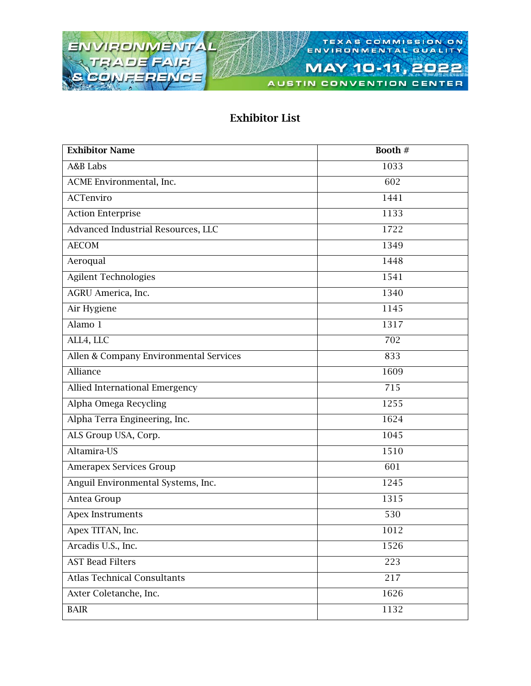

AUSTIN CONVENTION CENTER

### Exhibitor List

| <b>Exhibitor Name</b>                  | Booth # |
|----------------------------------------|---------|
| A&B Labs                               | 1033    |
| ACME Environmental, Inc.               | 602     |
| ACTenviro                              | 1441    |
| <b>Action Enterprise</b>               | 1133    |
| Advanced Industrial Resources, LLC     | 1722    |
| <b>AECOM</b>                           | 1349    |
| Aeroqual                               | 1448    |
| <b>Agilent Technologies</b>            | 1541    |
| AGRU America, Inc.                     | 1340    |
| Air Hygiene                            | 1145    |
| Alamo 1                                | 1317    |
| ALL4, LLC                              | 702     |
| Allen & Company Environmental Services | 833     |
| Alliance                               | 1609    |
| Allied International Emergency         | 715     |
| Alpha Omega Recycling                  | 1255    |
| Alpha Terra Engineering, Inc.          | 1624    |
| ALS Group USA, Corp.                   | 1045    |
| Altamira-US                            | 1510    |
| Amerapex Services Group                | 601     |
| Anguil Environmental Systems, Inc.     | 1245    |
| Antea Group                            | 1315    |
| Apex Instruments                       | 530     |
| Apex TITAN, Inc.                       | 1012    |
| Arcadis U.S., Inc.                     | 1526    |
| <b>AST Bead Filters</b>                | 223     |
| <b>Atlas Technical Consultants</b>     | 217     |
| Axter Coletanche, Inc.                 | 1626    |
| <b>BAIR</b>                            | 1132    |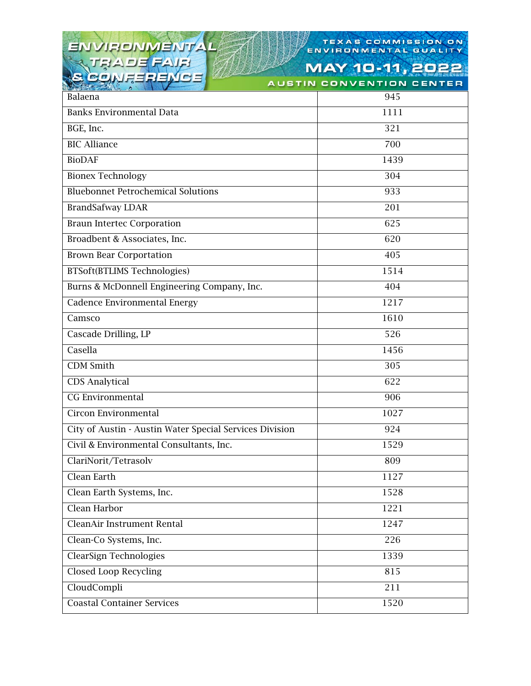# ENVIRONMENTAL

### TEXAS COMMISSION ON TEXAS COMMISSION

| $\mathbb{R}^n$ , $\mathbb{R}^n$ , $\mathbb{R}^n$ , $\mathbb{R}^n$ , $\mathbb{R}^n$ , $\mathbb{R}^n$ , $\mathbb{R}^n$ | AUSTIN CUNVENTIUN CENTER |
|----------------------------------------------------------------------------------------------------------------------|--------------------------|
| Balaena                                                                                                              | 945                      |
| <b>Banks Environmental Data</b>                                                                                      | 1111                     |
| BGE, Inc.                                                                                                            | 321                      |
| <b>BIC Alliance</b>                                                                                                  | 700                      |
| <b>BioDAF</b>                                                                                                        | 1439                     |
| <b>Bionex Technology</b>                                                                                             | 304                      |
| <b>Bluebonnet Petrochemical Solutions</b>                                                                            | 933                      |
| <b>BrandSafway LDAR</b>                                                                                              | 201                      |
| <b>Braun Intertec Corporation</b>                                                                                    | 625                      |
| Broadbent & Associates, Inc.                                                                                         | 620                      |
| <b>Brown Bear Corportation</b>                                                                                       | 405                      |
| <b>BTSoft(BTLIMS Technologies)</b>                                                                                   | 1514                     |
| Burns & McDonnell Engineering Company, Inc.                                                                          | 404                      |
| Cadence Environmental Energy                                                                                         | 1217                     |
| Camsco                                                                                                               | 1610                     |
| Cascade Drilling, LP                                                                                                 | 526                      |
| Casella                                                                                                              | 1456                     |
| <b>CDM</b> Smith                                                                                                     | 305                      |
| <b>CDS</b> Analytical                                                                                                | 622                      |
| CG Environmental                                                                                                     | 906                      |
| Circon Environmental                                                                                                 | 1027                     |
| City of Austin - Austin Water Special Services Division                                                              | 924                      |
| Civil & Environmental Consultants, Inc.                                                                              | 1529                     |
| ClariNorit/Tetrasolv                                                                                                 | 809                      |
| Clean Earth                                                                                                          | 1127                     |
| Clean Earth Systems, Inc.                                                                                            | 1528                     |
| Clean Harbor                                                                                                         | 1221                     |
| CleanAir Instrument Rental                                                                                           | 1247                     |
| Clean-Co Systems, Inc.                                                                                               | 226                      |
| ClearSign Technologies                                                                                               | 1339                     |
| <b>Closed Loop Recycling</b>                                                                                         | 815                      |
| CloudCompli                                                                                                          | 211                      |
| <b>Coastal Container Services</b>                                                                                    | 1520                     |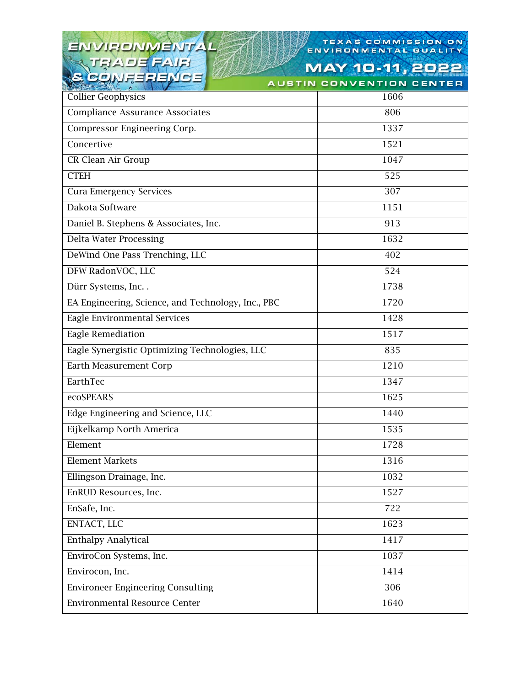# ENVIRONMENTAL<br>TRADE FAIR<br>S CONFERENCE

### TEXAS COMMISSION ON TEXAS COMMISSION

**MAY 10-11, 2022** IVENTION CENTER

. . .

| $\Delta$                                           | .    |
|----------------------------------------------------|------|
| <b>Collier Geophysics</b>                          | 1606 |
| <b>Compliance Assurance Associates</b>             | 806  |
| Compressor Engineering Corp.                       | 1337 |
| Concertive                                         | 1521 |
| CR Clean Air Group                                 | 1047 |
| <b>CTEH</b>                                        | 525  |
| <b>Cura Emergency Services</b>                     | 307  |
| Dakota Software                                    | 1151 |
| Daniel B. Stephens & Associates, Inc.              | 913  |
| <b>Delta Water Processing</b>                      | 1632 |
| DeWind One Pass Trenching, LLC                     | 402  |
| DFW RadonVOC, LLC                                  | 524  |
| Dürr Systems, Inc. .                               | 1738 |
| EA Engineering, Science, and Technology, Inc., PBC | 1720 |
| Eagle Environmental Services                       | 1428 |
| <b>Eagle Remediation</b>                           | 1517 |
| Eagle Synergistic Optimizing Technologies, LLC     | 835  |
| <b>Earth Measurement Corp</b>                      | 1210 |
| EarthTec                                           | 1347 |
| ecoSPEARS                                          | 1625 |
| Edge Engineering and Science, LLC                  | 1440 |
| Eijkelkamp North America                           | 1535 |
| Element                                            | 1728 |
| <b>Element Markets</b>                             | 1316 |
| Ellingson Drainage, Inc.                           | 1032 |
| EnRUD Resources, Inc.                              | 1527 |
| EnSafe, Inc.                                       | 722  |
| ENTACT, LLC                                        | 1623 |
| <b>Enthalpy Analytical</b>                         | 1417 |
| EnviroCon Systems, Inc.                            | 1037 |
| Envirocon, Inc.                                    | 1414 |
| <b>Environeer Engineering Consulting</b>           | 306  |
| <b>Environmental Resource Center</b>               | 1640 |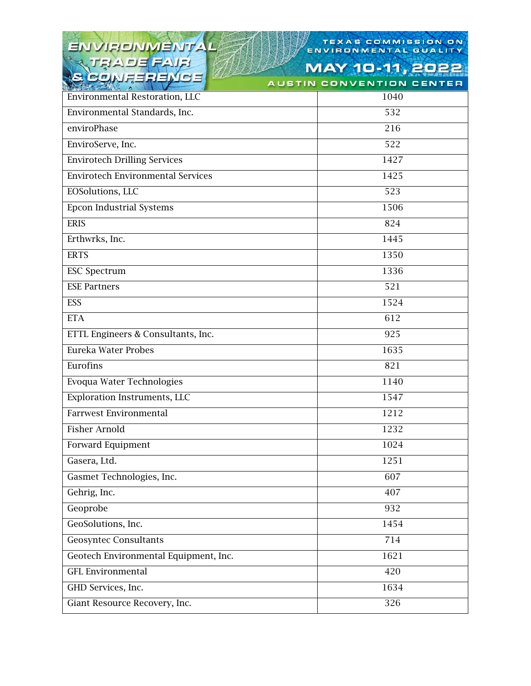### ENVIRONMENTAL CONFERE

## TEXAS COMMISSION ON

| SECIAL ERENCE<br><b>MARCHER</b>          | <b>AUSTIN CONVENTION CENTER</b> |
|------------------------------------------|---------------------------------|
| <b>Environmental Restoration, LLC</b>    | 1040                            |
| Environmental Standards, Inc.            | 532                             |
| enviroPhase                              | 216                             |
| EnviroServe, Inc.                        | 522                             |
| <b>Envirotech Drilling Services</b>      | 1427                            |
| <b>Envirotech Environmental Services</b> | 1425                            |
| EOSolutions, LLC                         | 523                             |
| <b>Epcon Industrial Systems</b>          | 1506                            |
| <b>ERIS</b>                              | 824                             |
| Erthwrks, Inc.                           | 1445                            |
| <b>ERTS</b>                              | 1350                            |
| <b>ESC Spectrum</b>                      | 1336                            |
| <b>ESE Partners</b>                      | 521                             |
| ESS                                      | 1524                            |
| <b>ETA</b>                               | 612                             |
| ETTL Engineers & Consultants, Inc.       | 925                             |
| Eureka Water Probes                      | 1635                            |
| Eurofins                                 | 821                             |
| Evoqua Water Technologies                | 1140                            |
| <b>Exploration Instruments, LLC</b>      | 1547                            |
| <b>Farrwest Environmental</b>            | 1212                            |
| <b>Fisher Arnold</b>                     | 1232                            |
| <b>Forward Equipment</b>                 | 1024                            |
| Gasera, Ltd.                             | 1251                            |
| Gasmet Technologies, Inc.                | 607                             |
| Gehrig, Inc.                             | 407                             |
| Geoprobe                                 | 932                             |
| GeoSolutions, Inc.                       | 1454                            |
| <b>Geosyntec Consultants</b>             | 714                             |
| Geotech Environmental Equipment, Inc.    | 1621                            |
| <b>GFL Environmental</b>                 | 420                             |
| GHD Services, Inc.                       | 1634                            |
| Giant Resource Recovery, Inc.            | 326                             |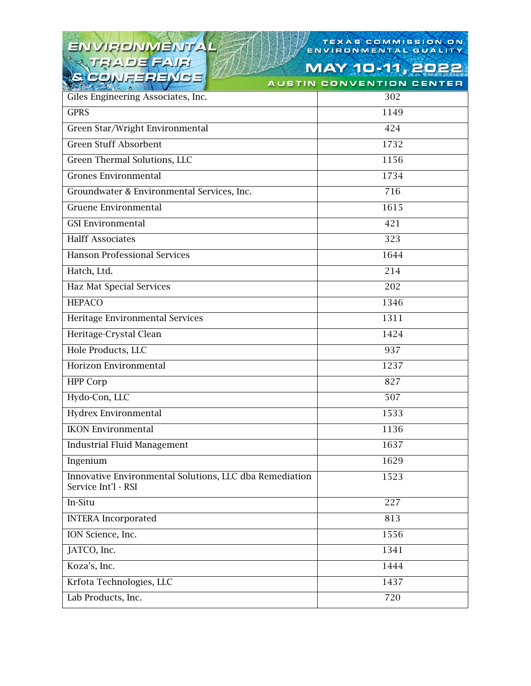#### ENVIRONMENTAL AIR THA E **CONF** 1-1 - 1

### TEXAS COMMISSION ON TEXAS COMMISSION

MAY 10-11, 2022 **AUSTIN CONVENTION CENTER** 

| have a series of the company of the company of the company of the company of the company of the company of the<br>Giles Engineering Associates, Inc. | 302  |
|------------------------------------------------------------------------------------------------------------------------------------------------------|------|
| <b>GPRS</b>                                                                                                                                          | 1149 |
| Green Star/Wright Environmental                                                                                                                      | 424  |
| <b>Green Stuff Absorbent</b>                                                                                                                         | 1732 |
| Green Thermal Solutions, LLC                                                                                                                         | 1156 |
| <b>Grones Environmental</b>                                                                                                                          | 1734 |
| Groundwater & Environmental Services, Inc.                                                                                                           | 716  |
| Gruene Environmental                                                                                                                                 | 1615 |
| <b>GSI Environmental</b>                                                                                                                             | 421  |
| <b>Halff Associates</b>                                                                                                                              | 323  |
| <b>Hanson Professional Services</b>                                                                                                                  | 1644 |
| Hatch, Ltd.                                                                                                                                          | 214  |
| <b>Haz Mat Special Services</b>                                                                                                                      | 202  |
| <b>HEPACO</b>                                                                                                                                        | 1346 |
| Heritage Environmental Services                                                                                                                      | 1311 |
| Heritage-Crystal Clean                                                                                                                               | 1424 |
| Hole Products, LLC                                                                                                                                   | 937  |
| Horizon Environmental                                                                                                                                | 1237 |
| <b>HPP Corp</b>                                                                                                                                      | 827  |
| Hydo-Con, LLC                                                                                                                                        | 507  |
| Hydrex Environmental                                                                                                                                 | 1533 |
| <b>IKON Environmental</b>                                                                                                                            | 1136 |
| <b>Industrial Fluid Management</b>                                                                                                                   | 1637 |
| Ingenium                                                                                                                                             | 1629 |
| Innovative Environmental Solutions, LLC dba Remediation<br>Service Int'l - RSI                                                                       | 1523 |
| In-Situ                                                                                                                                              | 227  |
| <b>INTERA</b> Incorporated                                                                                                                           | 813  |
| ION Science, Inc.                                                                                                                                    | 1556 |
| JATCO, Inc.                                                                                                                                          | 1341 |
| Koza's, Inc.                                                                                                                                         | 1444 |
| Krfota Technologies, LLC                                                                                                                             | 1437 |
| Lab Products, Inc.                                                                                                                                   | 720  |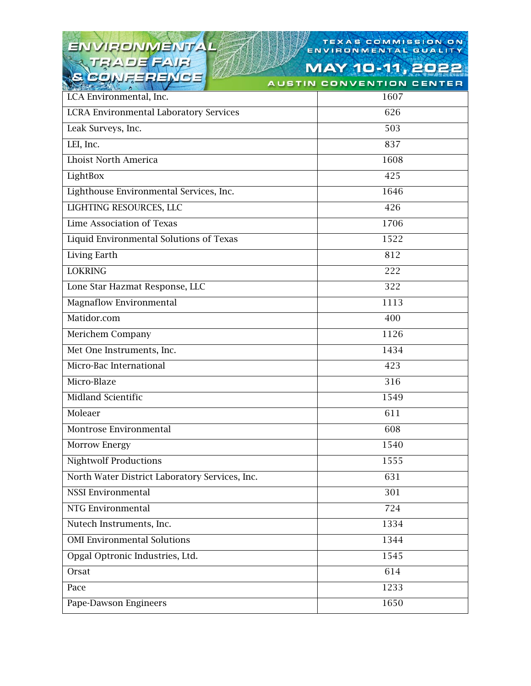### ENVIRONMENTAL **CONF-**キュニ

## TEXAS COMMISSION ON

**MAY 10-11, 2022 AUSTIN CONVENTION CENTER** 

| <b>CONSTRUCTION OF THE VIOLENCE</b><br>LCA Environmental, Inc. | 1607 |
|----------------------------------------------------------------|------|
| <b>LCRA Environmental Laboratory Services</b>                  | 626  |
| Leak Surveys, Inc.                                             | 503  |
| LEI, Inc.                                                      | 837  |
| <b>Lhoist North America</b>                                    | 1608 |
| LightBox                                                       | 425  |
| Lighthouse Environmental Services, Inc.                        | 1646 |
| LIGHTING RESOURCES, LLC                                        | 426  |
| Lime Association of Texas                                      | 1706 |
| Liquid Environmental Solutions of Texas                        | 1522 |
| Living Earth                                                   | 812  |
| <b>LOKRING</b>                                                 | 222  |
| Lone Star Hazmat Response, LLC                                 | 322  |
| <b>Magnaflow Environmental</b>                                 | 1113 |
| Matidor.com                                                    | 400  |
| Merichem Company                                               | 1126 |
| Met One Instruments, Inc.                                      | 1434 |
| Micro-Bac International                                        | 423  |
| Micro-Blaze                                                    | 316  |
| <b>Midland Scientific</b>                                      | 1549 |
| Moleaer                                                        | 611  |
| Montrose Environmental                                         | 608  |
| Morrow Energy                                                  | 1540 |
| <b>Nightwolf Productions</b>                                   | 1555 |
| North Water District Laboratory Services, Inc.                 | 631  |
| <b>NSSI Environmental</b>                                      | 301  |
| NTG Environmental                                              | 724  |
| Nutech Instruments, Inc.                                       | 1334 |
| <b>OMI Environmental Solutions</b>                             | 1344 |
| Opgal Optronic Industries, Ltd.                                | 1545 |
| Orsat                                                          | 614  |
| Pace                                                           | 1233 |
| Pape-Dawson Engineers                                          | 1650 |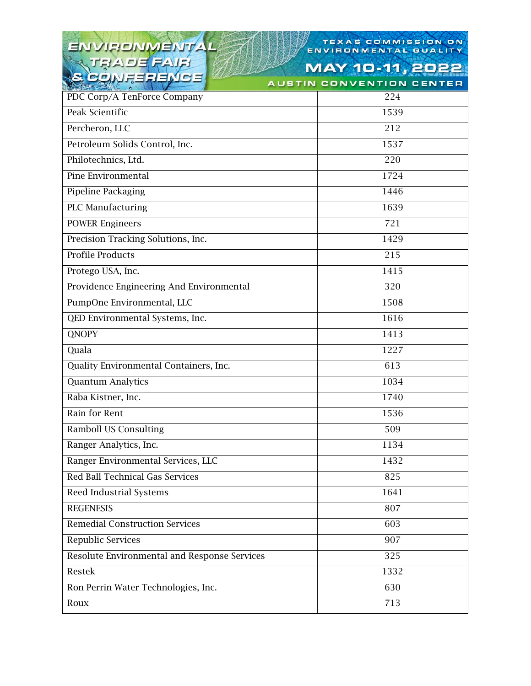#### VIRONMENTAL EN THA п CON

### TEXAS COMMISSION ON TEXAS COMMISSION

| $H = H - H - H$                              | <b>AUSTIN CONVENTION CENTER</b> |
|----------------------------------------------|---------------------------------|
| PDC Corp/A TenForce Company                  | 224                             |
| Peak Scientific                              | 1539                            |
| Percheron, LLC                               | 212                             |
| Petroleum Solids Control, Inc.               | 1537                            |
| Philotechnics, Ltd.                          | 220                             |
| Pine Environmental                           | 1724                            |
| Pipeline Packaging                           | 1446                            |
| <b>PLC Manufacturing</b>                     | 1639                            |
| <b>POWER Engineers</b>                       | 721                             |
| Precision Tracking Solutions, Inc.           | 1429                            |
| <b>Profile Products</b>                      | 215                             |
| Protego USA, Inc.                            | 1415                            |
| Providence Engineering And Environmental     | $\overline{3}20$                |
| PumpOne Environmental, LLC                   | 1508                            |
| QED Environmental Systems, Inc.              | 1616                            |
| <b>QNOPY</b>                                 | 1413                            |
| Quala                                        | 1227                            |
| Quality Environmental Containers, Inc.       | 613                             |
| <b>Quantum Analytics</b>                     | 1034                            |
| Raba Kistner, Inc.                           | 1740                            |
| Rain for Rent                                | 1536                            |
| <b>Ramboll US Consulting</b>                 | 509                             |
| Ranger Analytics, Inc.                       | 1134                            |
| Ranger Environmental Services, LLC           | 1432                            |
| Red Ball Technical Gas Services              | 825                             |
| Reed Industrial Systems                      | 1641                            |
| <b>REGENESIS</b>                             | 807                             |
| <b>Remedial Construction Services</b>        | 603                             |
| Republic Services                            | 907                             |
| Resolute Environmental and Response Services | 325                             |
| Restek                                       | 1332                            |
| Ron Perrin Water Technologies, Inc.          | 630                             |
| Roux                                         | 713                             |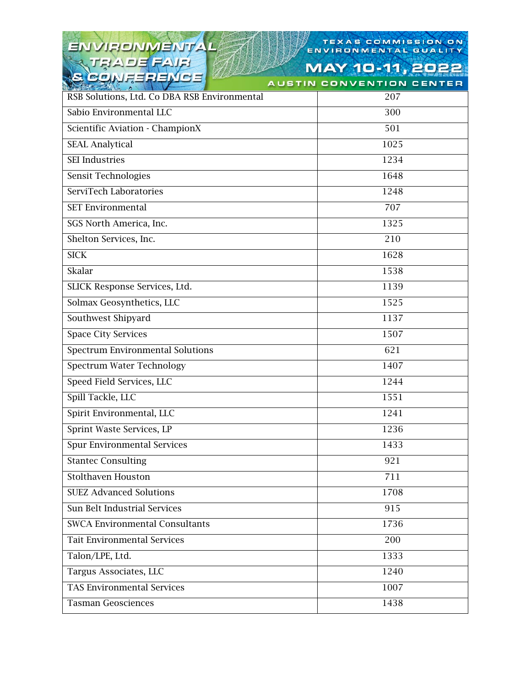### TEXAS COMMISSION ON

**MAY 10-11, 2022** 

| SECURE FENCE<br><b>MARCHE</b>                | <b>AUSTIN CONVENTION CENTER</b> |
|----------------------------------------------|---------------------------------|
| RSB Solutions, Ltd. Co DBA RSB Environmental | 207                             |
| Sabio Environmental LLC                      | 300                             |
| Scientific Aviation - ChampionX              | 501                             |
| <b>SEAL Analytical</b>                       | 1025                            |
| <b>SEI</b> Industries                        | 1234                            |
| Sensit Technologies                          | 1648                            |
| ServiTech Laboratories                       | 1248                            |
| <b>SET Environmental</b>                     | 707                             |
| SGS North America, Inc.                      | 1325                            |
| Shelton Services, Inc.                       | 210                             |
| <b>SICK</b>                                  | 1628                            |
| Skalar                                       | 1538                            |
| SLICK Response Services, Ltd.                | 1139                            |
| Solmax Geosynthetics, LLC                    | 1525                            |
| Southwest Shipyard                           | 1137                            |
| <b>Space City Services</b>                   | 1507                            |
| <b>Spectrum Environmental Solutions</b>      | 621                             |
| <b>Spectrum Water Technology</b>             | 1407                            |
| Speed Field Services, LLC                    | 1244                            |
| Spill Tackle, LLC                            | 1551                            |
| Spirit Environmental, LLC                    | 1241                            |
| Sprint Waste Services, LP                    | 1236                            |
| <b>Spur Environmental Services</b>           | 1433                            |
| <b>Stantec Consulting</b>                    | 921                             |
| <b>Stolthaven Houston</b>                    | 711                             |
| <b>SUEZ Advanced Solutions</b>               | 1708                            |
| Sun Belt Industrial Services                 | 915                             |
| <b>SWCA Environmental Consultants</b>        | 1736                            |
| Tait Environmental Services                  | 200                             |
| Talon/LPE, Ltd.                              | 1333                            |
| Targus Associates, LLC                       | 1240                            |
| <b>TAS Environmental Services</b>            | 1007                            |
| <b>Tasman Geosciences</b>                    | 1438                            |

RONMENTAL

AJFI

EN

TE

CON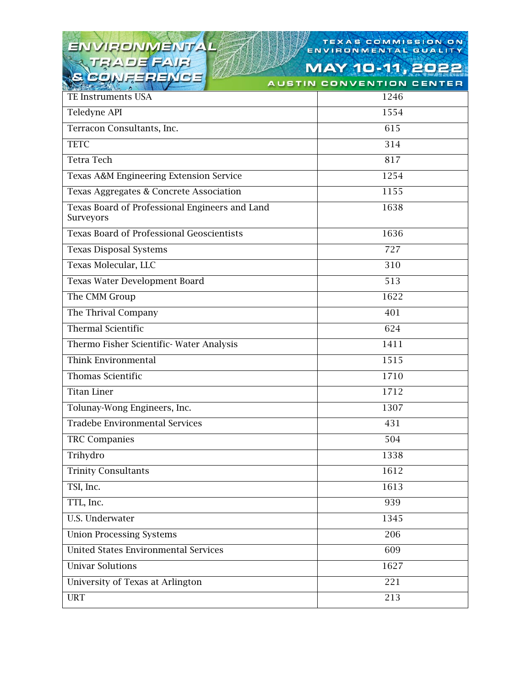| ENVIRONMENTAL                                               | TEXAS COMMISSION ON<br>ENVIRONMENTAL QUALITY |
|-------------------------------------------------------------|----------------------------------------------|
| JEADE FAIR                                                  | MAY 10-11, 20                                |
| <b>SCONFERENCE</b>                                          | <b>AUSTIN CONVENTION CENTER</b>              |
| TE Instruments USA                                          | 1246                                         |
| Teledyne API                                                | 1554                                         |
| Terracon Consultants, Inc.                                  | 615                                          |
| <b>TETC</b>                                                 | 314                                          |
| <b>Tetra Tech</b>                                           | 817                                          |
| Texas A&M Engineering Extension Service                     | 1254                                         |
| Texas Aggregates & Concrete Association                     | 1155                                         |
| Texas Board of Professional Engineers and Land<br>Surveyors | 1638                                         |
| <b>Texas Board of Professional Geoscientists</b>            | 1636                                         |
| <b>Texas Disposal Systems</b>                               | 727                                          |
| Texas Molecular, LLC                                        | 310                                          |
| Texas Water Development Board                               | 513                                          |
| The CMM Group                                               | 1622                                         |
| The Thrival Company                                         | 401                                          |
| <b>Thermal Scientific</b>                                   | $\overline{624}$                             |
| Thermo Fisher Scientific-Water Analysis                     | 1411                                         |
| Think Environmental                                         | 1515                                         |
| Thomas Scientific                                           | 1710                                         |
| <b>Titan Liner</b>                                          | 1712                                         |
| Tolunay-Wong Engineers, Inc.                                | 1307                                         |
| Tradebe Environmental Services                              | 431                                          |
| <b>TRC Companies</b>                                        | 504                                          |
| Trihydro                                                    | 1338                                         |
| <b>Trinity Consultants</b>                                  | 1612                                         |
| TSI, Inc.                                                   | 1613                                         |
| TTL, Inc.                                                   | 939                                          |
| <b>U.S. Underwater</b>                                      | 1345                                         |
| <b>Union Processing Systems</b>                             | 206                                          |
| <b>United States Environmental Services</b>                 | 609                                          |
| <b>Univar Solutions</b>                                     | 1627                                         |
| University of Texas at Arlington                            | 221                                          |
| <b>URT</b>                                                  | 213                                          |